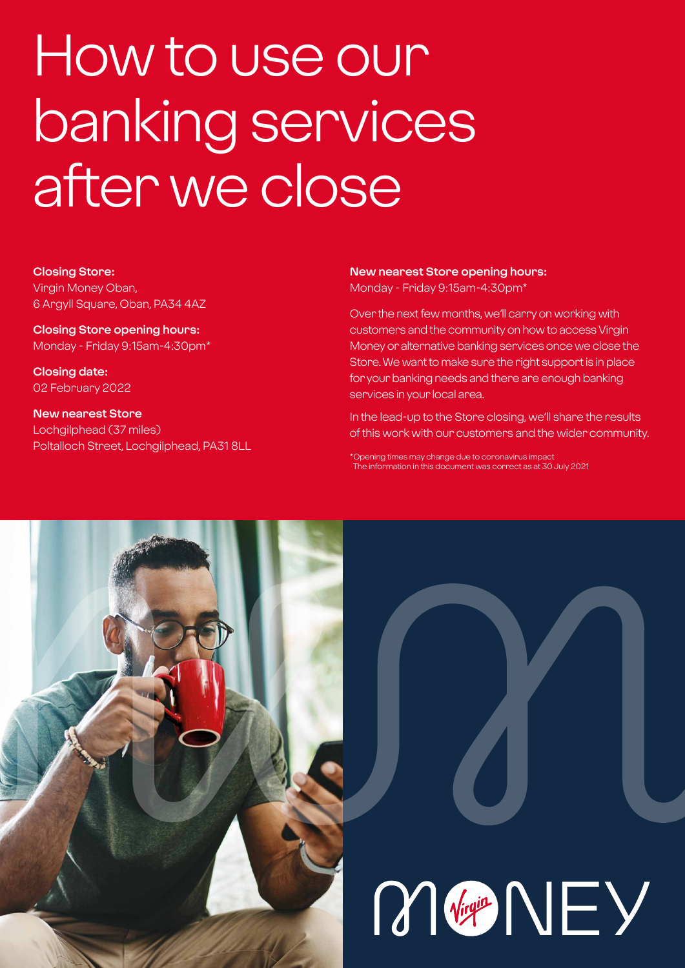# How to use our banking services after we close

**Closing Store:** Virgin Money Oban, 6 Argyll Square, Oban, PA34 4AZ

**Closing Store opening hours:**  Monday - Friday 9:15am-4:30pm\*

**Closing date:**  02 February 2022

**New nearest Store** Lochgilphead (37 miles) Poltalloch Street, Lochgilphead, PA31 8LL **New nearest Store opening hours:** Monday - Friday 9:15am-4:30pm\*

Over the next few months, we'll carry on working with customers and the community on how to access Virgin Money or alternative banking services once we close the Store. We want to make sure the right support is in place for your banking needs and there are enough banking services in your local area.

In the lead-up to the Store closing, we'll share the results of this work with our customers and the wider community.

\*Opening times may change due to coronavirus impact The information in this document was correct as at 30 July 2021

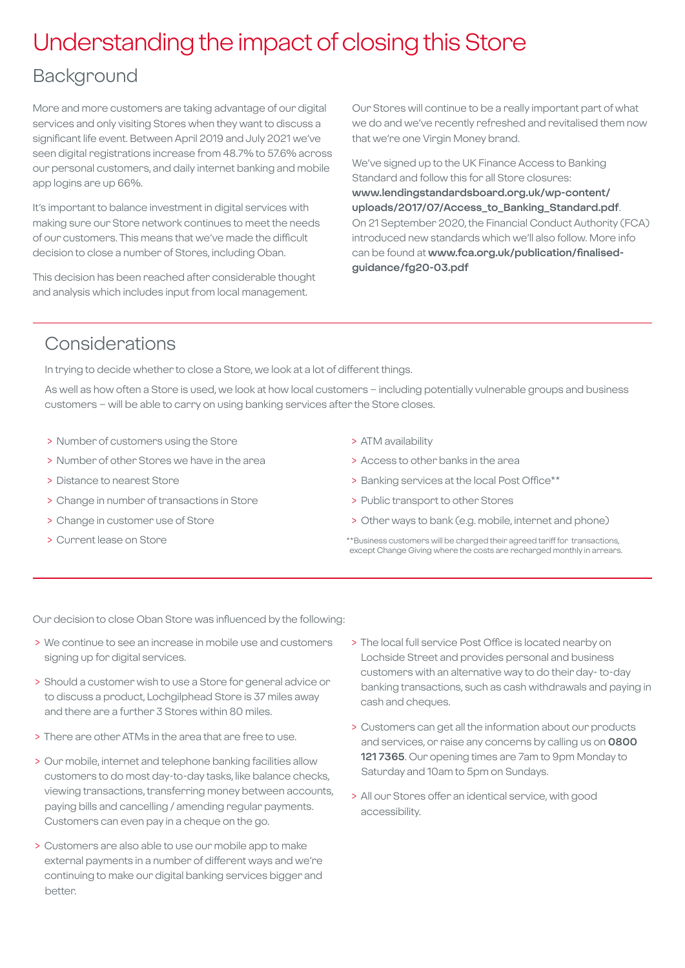### Understanding the impact of closing this Store

### Background

More and more customers are taking advantage of our digital services and only visiting Stores when they want to discuss a significant life event. Between April 2019 and July 2021 we've seen digital registrations increase from 48.7% to 57.6% across our personal customers, and daily internet banking and mobile app logins are up 66%.

It's important to balance investment in digital services with making sure our Store network continues to meet the needs of our customers. This means that we've made the difficult decision to close a number of Stores, including Oban.

This decision has been reached after considerable thought and analysis which includes input from local management.

Our Stores will continue to be a really important part of what we do and we've recently refreshed and revitalised them now that we're one Virgin Money brand.

We've signed up to the UK Finance Access to Banking Standard and follow this for all Store closures: **[www.lendingstandardsboard.org.uk/wp-content/](http://www.lendingstandardsboard.org.uk/wp-content/uploads/2017/07/Access_to_Banking_Standard.pdf) [uploads/2017/07/Access\\_to\\_Banking\\_Standard.pdf](http://www.lendingstandardsboard.org.uk/wp-content/uploads/2017/07/Access_to_Banking_Standard.pdf)**. On 21 September 2020, the Financial Conduct Authority (FCA) introduced new standards which we'll also follow. More info can be found at **[www.fca.org.uk/publication/finalised](http://www.fca.org.uk/publication/finalised-guidance/fg20-03.pdf)[guidance/fg20-03.pdf](http://www.fca.org.uk/publication/finalised-guidance/fg20-03.pdf)**

### Considerations

In trying to decide whether to close a Store, we look at a lot of different things.

As well as how often a Store is used, we look at how local customers – including potentially vulnerable groups and business customers – will be able to carry on using banking services after the Store closes.

- > Number of customers using the Store
- > Number of other Stores we have in the area
- > Distance to nearest Store
- > Change in number of transactions in Store
- > Change in customer use of Store
- > Current lease on Store
- > ATM availability
- > Access to other banks in the area
- > Banking services at the local Post Office\*\*
- > Public transport to other Stores
- > Other ways to bank (e.g. mobile, internet and phone)
- \*\*Business customers will be charged their agreed tariff for transactions, except Change Giving where the costs are recharged monthly in arrears.

Our decision to close Oban Store was influenced by the following:

- > We continue to see an increase in mobile use and customers signing up for digital services.
- > Should a customer wish to use a Store for general advice or to discuss a product, Lochgilphead Store is 37 miles away and there are a further 3 Stores within 80 miles.
- > There are other ATMs in the area that are free to use.
- > Our mobile, internet and telephone banking facilities allow customers to do most day-to-day tasks, like balance checks, viewing transactions, transferring money between accounts, paying bills and cancelling / amending regular payments. Customers can even pay in a cheque on the go.
- > Customers are also able to use our mobile app to make external payments in a number of different ways and we're continuing to make our digital banking services bigger and better.
- > The local full service Post Office is located nearby on Lochside Street and provides personal and business customers with an alternative way to do their day- to-day banking transactions, such as cash withdrawals and paying in cash and cheques.
- > Customers can get all the information about our products and services, or raise any concerns by calling us on **0800 121 7365**. Our opening times are 7am to 9pm Monday to Saturday and 10am to 5pm on Sundays.
- > All our Stores offer an identical service, with good accessibility.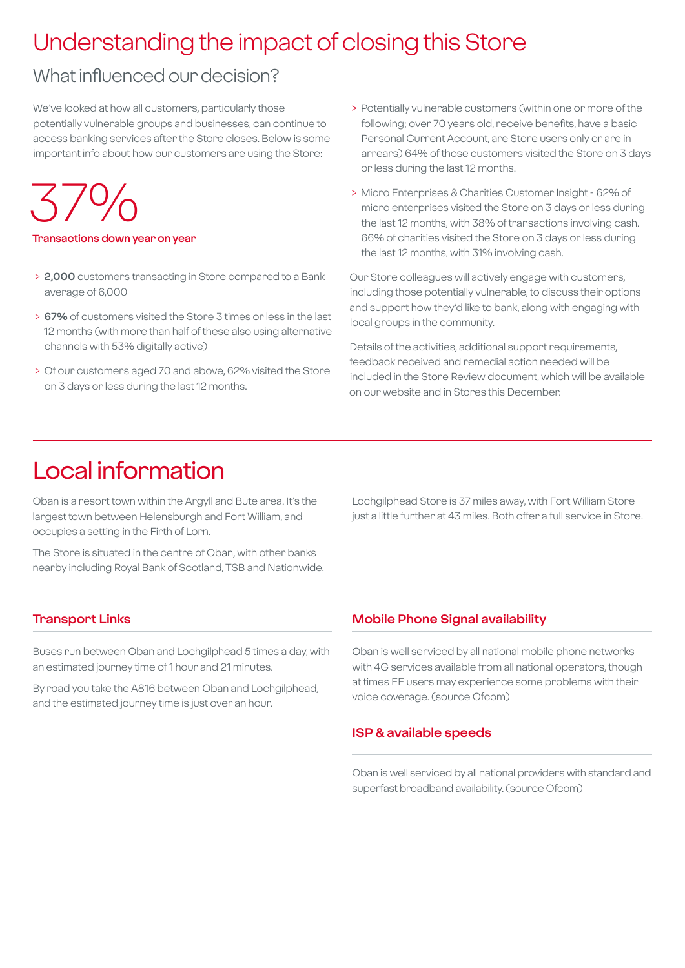## Understanding the impact of closing this Store

### What influenced our decision?

We've looked at how all customers, particularly those potentially vulnerable groups and businesses, can continue to access banking services after the Store closes. Below is some important info about how our customers are using the Store:

37%

#### **Transactions down year on year**

- > **2,000** customers transacting in Store compared to a Bank average of 6,000
- > **67%** of customers visited the Store 3 times or less in the last 12 months (with more than half of these also using alternative channels with 53% digitally active)
- > Of our customers aged 70 and above, 62% visited the Store on 3 days or less during the last 12 months.
- > Potentially vulnerable customers (within one or more of the following; over 70 years old, receive benefits, have a basic Personal Current Account, are Store users only or are in arrears) 64% of those customers visited the Store on 3 days or less during the last 12 months.
- > Micro Enterprises & Charities Customer Insight 62% of micro enterprises visited the Store on 3 days or less during the last 12 months, with 38% of transactions involving cash. 66% of charities visited the Store on 3 days or less during the last 12 months, with 31% involving cash.

Our Store colleagues will actively engage with customers, including those potentially vulnerable, to discuss their options and support how they'd like to bank, along with engaging with local groups in the community.

Details of the activities, additional support requirements, feedback received and remedial action needed will be included in the Store Review document, which will be available on our website and in Stores this December.

### Local information

Oban is a resort town within the Argyll and Bute area. It's the largest town between Helensburgh and Fort William, and occupies a setting in the Firth of Lorn.

The Store is situated in the centre of Oban, with other banks nearby including Royal Bank of Scotland, TSB and Nationwide. Lochgilphead Store is 37 miles away, with Fort William Store just a little further at 43 miles. Both offer a full service in Store.

### **Transport Links**

Buses run between Oban and Lochgilphead 5 times a day, with an estimated journey time of 1 hour and 21 minutes.

By road you take the A816 between Oban and Lochgilphead, and the estimated journey time is just over an hour.

### **Mobile Phone Signal availability**

Oban is well serviced by all national mobile phone networks with 4G services available from all national operators, though at times EE users may experience some problems with their voice coverage. (source Ofcom)

#### **ISP & available speeds**

Oban is well serviced by all national providers with standard and superfast broadband availability. (source Ofcom)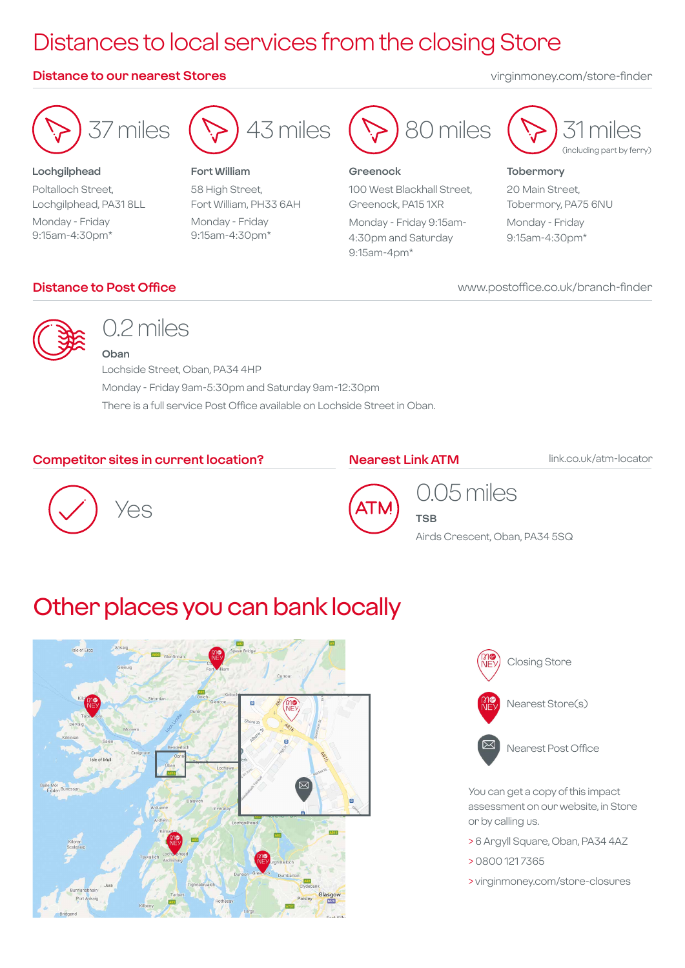## Distances to local services from the closing Store

### **Distance to our nearest Stores** virginmoney.com/store-finder



**Lochgilphead** Poltalloch Street, Lochgilphead, PA31 8LL Monday - Friday 9:15am-4:30pm\*



**Fort William** 58 High Street, Fort William, PH33 6AH Monday - Friday 9:15am-4:30pm\*



#### **Greenock**

100 West Blackhall Street, Greenock, PA15 1XR Monday - Friday 9:15am-

4:30pm and Saturday 9:15am-4pm\*



#### **Tobermory**

20 Main Street, Tobermory, PA75 6NU Monday - Friday

9:15am-4:30pm\*

### **Distance to Post Office**

www.postoffice.co.uk/branch-finder



### 0.2 miles

**Oban** Lochside Street, Oban, PA34 4HP Monday - Friday 9am-5:30pm and Saturday 9am-12:30pm There is a full service Post Office available on Lochside Street in Oban.

### **Competitor sites in current location?**

### **Nearest Link ATM**

ATI

**TSB**

link.co.uk/atm-locator





0.05 miles

Airds Crescent, Oban, PA34 5SQ

### Other places you can bank locally





You can get a copy of this impact assessment on our website, in Store or by calling us.

- > 6 Argyll Square, Oban, PA34 4AZ
- > 0800 121 7365
- > virginmoney.com/store-closures